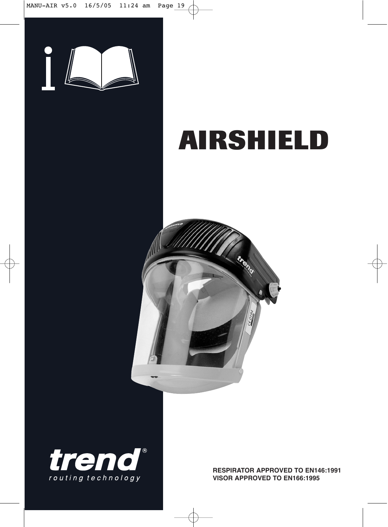

# **AIRSHIELD**





**RESPIRATOR APPROVED TO EN146:1991 VISOR APPROVED TO EN166:1995**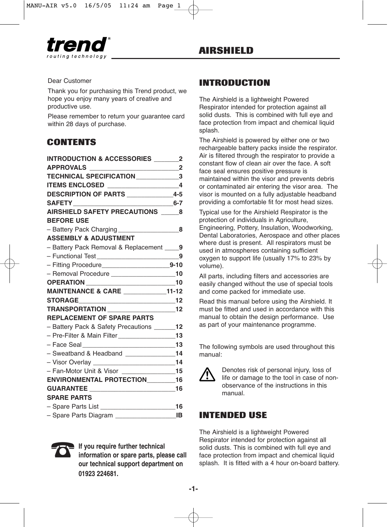

#### Dear Customer

Thank you for purchasing this Trend product, we hope you enjoy many years of creative and productive use.

Please remember to return your guarantee card within 28 days of purchase.

# **CONTENTS**

| INTRODUCTION & ACCESSORIES ________2                   |  |
|--------------------------------------------------------|--|
|                                                        |  |
| TECHNICAL SPECIFICATION______________3                 |  |
|                                                        |  |
| DESCRIPTION OF PARTS ________________4-5               |  |
|                                                        |  |
| AIRSHIELD SAFETY PRECAUTIONS ______8                   |  |
| <b>BEFORE USE</b>                                      |  |
|                                                        |  |
| <b>ASSEMBLY &amp; ADJUSTMENT</b>                       |  |
| - Battery Pack Removal & Replacement ____9             |  |
| - Functional Test _________________________9           |  |
|                                                        |  |
| - Removal Procedure ____________________10             |  |
| OPERATION ________________________________10           |  |
| MAINTENANCE & CARE ____________11-12                   |  |
|                                                        |  |
| TRANSPORTATION ________________________12              |  |
| <b>REPLACEMENT OF SPARE PARTS</b>                      |  |
| - Battery Pack & Safety Precautions ______12           |  |
| - Pre-Filter & Main Filter _________________________13 |  |
| - Face Seal ___________________________________13      |  |
| - Sweatband & Headband ________________14              |  |
|                                                        |  |
| - Fan-Motor Unit & Visor _________________15           |  |
| ENVIRONMENTAL PROTECTION_________16                    |  |
|                                                        |  |
| <b>SPARE PARTS</b>                                     |  |
|                                                        |  |
|                                                        |  |



☎**If you require further technical information or spare parts, please call our technical support department on 01923 224681.**

# **INTRODUCTION**

The Airshield is a lightweight Powered Respirator intended for protection against all solid dusts. This is combined with full eye and face protection from impact and chemical liquid splash.

The Airshield is powered by either one or two rechargeable battery packs inside the respirator. Air is filtered through the respirator to provide a constant flow of clean air over the face. A soft face seal ensures positive pressure is maintained within the visor and prevents debris or contaminated air entering the visor area. The visor is mounted on a fully adjustable headband providing a comfortable fit for most head sizes.

Typical use for the Airshield Respirator is the protection of individuals in Agriculture, Engineering, Pottery, Insulation, Woodworking, Dental Laboratories, Aerospace and other places where dust is present. All respirators must be used in atmospheres containing sufficient oxygen to support life (usually 17% to 23% by volume).

All parts, including filters and accessories are easily changed without the use of special tools and come packed for immediate use.

Read this manual before using the Airshield. It must be fitted and used in accordance with this manual to obtain the design performance. Use as part of your maintenance programme.

The following symbols are used throughout this manual:



Denotes risk of personal injury, loss of life or damage to the tool in case of nonobservance of the instructions in this manual.

### **INTENDED USE**

The Airshield is a lightweight Powered Respirator intended for protection against all solid dusts. This is combined with full eve and face protection from impact and chemical liquid splash. It is fitted with a 4 hour on-board battery.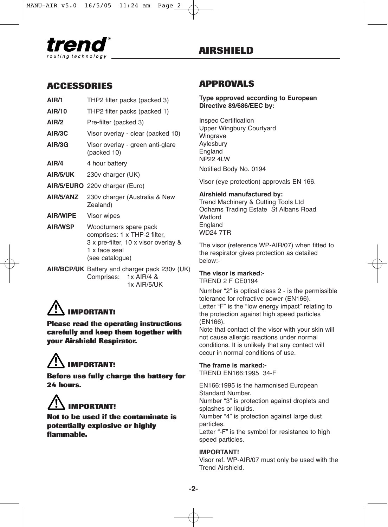

### **ACCESSORIES**

| AIR/1           | THP2 filter packs (packed 3)                                                                                                       |
|-----------------|------------------------------------------------------------------------------------------------------------------------------------|
| AIR/10          | THP2 filter packs (packed 1)                                                                                                       |
| AIR/2           | Pre-filter (packed 3)                                                                                                              |
| AIR/3C          | Visor overlay - clear (packed 10)                                                                                                  |
| AIR/3G          | Visor overlay - green anti-glare<br>(packed 10)                                                                                    |
| AIR/4           | 4 hour battery                                                                                                                     |
| AIR/5/UK        | 230v charger (UK)                                                                                                                  |
| AIR/5/EURO      | 220v charger (Euro)                                                                                                                |
| AIR/5/ANZ       | 230v charger (Australia & New<br>Zealand)                                                                                          |
| <b>AIR/WIPE</b> | Visor wipes                                                                                                                        |
| <b>AIR/WSP</b>  | Woodturners spare pack<br>comprises: 1 x THP-2 filter,<br>3 x pre-filter, 10 x visor overlay &<br>1 x face seal<br>(see catalogue) |
|                 | $\blacksquare$                                                                                                                     |

**AIR/BCP/UK** Battery and charger pack 230v (UK) Comprises: 1x AIR/4 & 1x AIR/5/UK

# **IMPORTANT!**

**Please read the operating instructions carefully and keep them together with your Airshield Respirator.**

# **IMPORTANT!**

**Before use fully charge the battery for 24 hours.**



**Not to be used if the contaminate is potentially explosive or highly flammable.**

### **APPROVALS**

#### **Type approved according to European Directive 89/686/EEC by:**

Inspec Certification Upper Wingbury Courtyard **Wingrave** Aylesbury England NP22 4LW Notified Body No. 0194

Visor (eye protection) approvals EN 166.

#### **Airshield manufactured by:**

Trend Machinery & Cutting Tools Ltd Odhams Trading Estate St Albans Road **Watford** England WD24 7TR

The visor (reference WP-AIR/07) when fitted to the respirator gives protection as detailed below:-

#### **The visor is marked:-** TREND 2 F CE0194

Number "2" is optical class 2 - is the permissible tolerance for refractive power (EN166). Letter "F" is the "low energy impact" relating to the protection against high speed particles (EN166).

Note that contact of the visor with your skin will not cause allergic reactions under normal conditions. It is unlikely that any contact will occur in normal conditions of use.

#### **The frame is marked:-**

TREND EN166:1995 34-F

EN166:1995 is the harmonised European Standard Number.

Number "3" is protection against droplets and splashes or liquids.

Number "4" is protection against large dust particles.

Letter "-F" is the symbol for resistance to high speed particles.

#### **IMPORTANT!**

Visor ref. WP-AIR/07 must only be used with the Trend Airshield.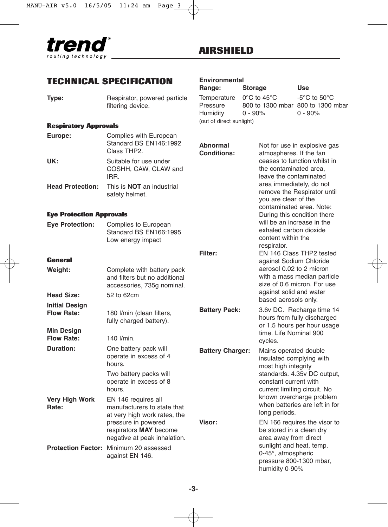

# **TECHNICAL SPECIFICATION**

| Type: | Respirator, powered particle |
|-------|------------------------------|
|       | filtering device.            |

#### **Respiratory Approvals**

| Europe:                 | Complies with European<br>Standard BS EN146:1992<br>Class THP2. | <b>Abnormal</b><br><b>Conditions:</b> | Not for use in explosive gas<br>atmospheres. If the fan                          |
|-------------------------|-----------------------------------------------------------------|---------------------------------------|----------------------------------------------------------------------------------|
| UK:                     | Suitable for use under<br>COSHH, CAW, CLAW and<br>IRR.          |                                       | ceases to function whilst in<br>the contaminated area.<br>leave the contaminated |
| <b>Head Protection:</b> | This is <b>NOT</b> an industrial                                |                                       | area immediately, do not<br>$\cdots$ $\cdots$ $\cdots$ $\cdots$                  |

safety helmet.

#### **Eye Protection Approvals**

| <b>Eve Protection:</b> | Complies to European   |
|------------------------|------------------------|
|                        | Standard BS EN166:1995 |
|                        | Low energy impact      |
|                        |                        |

#### **General**

| Weight:                                    | Complete with battery pack<br>and filters but no additional<br>accessories, 735g nominal.                                                                           |                         |
|--------------------------------------------|---------------------------------------------------------------------------------------------------------------------------------------------------------------------|-------------------------|
| Head Size:                                 | 52 to 62cm                                                                                                                                                          |                         |
| <b>Initial Design</b><br><b>Flow Rate:</b> | 180 I/min (clean filters,<br>fully charged battery).                                                                                                                | <b>Battery Pack:</b>    |
| Min Design<br><b>Flow Rate:</b>            | 140 l/min.                                                                                                                                                          |                         |
| Duration:                                  | One battery pack will<br>operate in excess of 4<br>hours.                                                                                                           | <b>Battery Charger:</b> |
|                                            | Two battery packs will<br>operate in excess of 8<br>hours.                                                                                                          |                         |
| <b>Very High Work</b><br>Rate:             | EN 146 requires all<br>manufacturers to state that<br>at very high work rates, the<br>pressure in powered<br>respirators MAY become<br>negative at peak inhalation. | Visor:                  |
|                                            | Protection Factor: Minimum 20 assessed<br>against EN 146.                                                                                                           |                         |

# **Environmental**

| Range:                   | <b>Storage</b>                    | <b>Use</b>                       |
|--------------------------|-----------------------------------|----------------------------------|
| Temperature              | $0^{\circ}$ C to 45 $^{\circ}$ C  | $-5^{\circ}$ C to $50^{\circ}$ C |
| Pressure                 | 800 to 1300 mbar 800 to 1300 mbar |                                  |
| Humidity                 | $0 - 90\%$                        | $0 - 90%$                        |
| (out of direct sunlight) |                                   |                                  |

| Filter:                 | leave the contaminated<br>area immediately, do not<br>remove the Respirator until<br>you are clear of the<br>contaminated area. Note:<br>During this condition there<br>will be an increase in the<br>exhaled carbon dioxide<br>content within the<br>respirator.<br>EN 146 Class THP2 tested<br>against Sodium Chloride<br>aerosol 0.02 to 2 micron<br>with a mass median particle<br>size of 0.6 micron. For use<br>against solid and water<br>based aerosols only. |
|-------------------------|-----------------------------------------------------------------------------------------------------------------------------------------------------------------------------------------------------------------------------------------------------------------------------------------------------------------------------------------------------------------------------------------------------------------------------------------------------------------------|
| <b>Battery Pack:</b>    | 3.6v DC. Recharge time 14<br>hours from fully discharged<br>or 1.5 hours per hour usage<br>time. Life Nominal 900<br>cvcles.                                                                                                                                                                                                                                                                                                                                          |
| <b>Battery Charger:</b> | Mains operated double<br>insulated complying with<br>most high integrity<br>standards. 4.35v DC output,<br>constant current with<br>current limiting circuit. No<br>known overcharge problem<br>when batteries are left in for<br>long periods.                                                                                                                                                                                                                       |
| <b>Visor:</b>           | EN 166 requires the visor to<br>be stored in a clean dry<br>area away from direct<br>sunlight and heat, temp.<br>0-45°, atmospheric                                                                                                                                                                                                                                                                                                                                   |

pressure 800-1300 mbar,

humidity 0-90%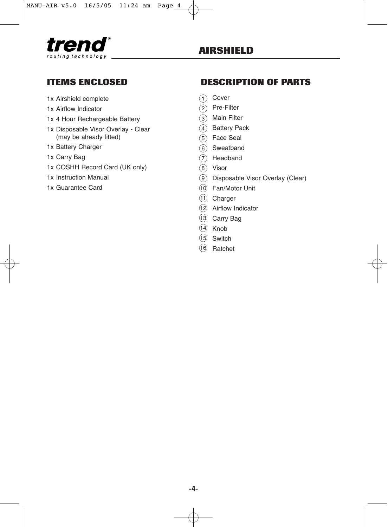

### **ITEMS ENCLOSED**

- 1x Airshield complete
- 1x Airflow Indicator
- 1x 4 Hour Rechargeable Battery
- 1x Disposable Visor Overlay Clear (may be already fitted)
- 1x Battery Charger
- 1x Carry Bag
- 1x COSHH Record Card (UK only)
- 1x Instruction Manual
- 1x Guarantee Card

### **DESCRIPTION OF PARTS**

- <sub>1</sub>) Cover
- 2)Pre-Filter
- 3) Main Filter
- <sub>4</sub>)Battery Pack
- 5)Face Seal
- 6)Sweatband
- 7) Headband
- Visor 8
- Disposable Visor Overlay (Clear) 9
- Fan/Motor Unit 10
- Charger 11
- Airflow Indicator 12
- Carry Bag 13
- Knob 14
- Switch 15
- 16 Ratchet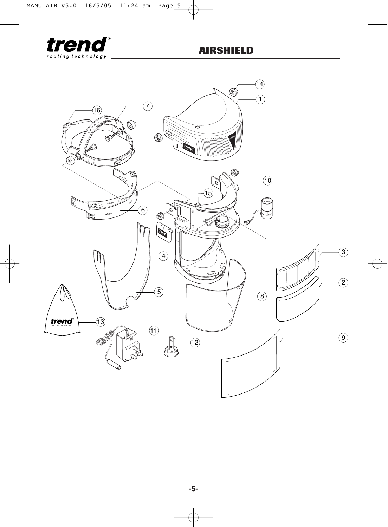

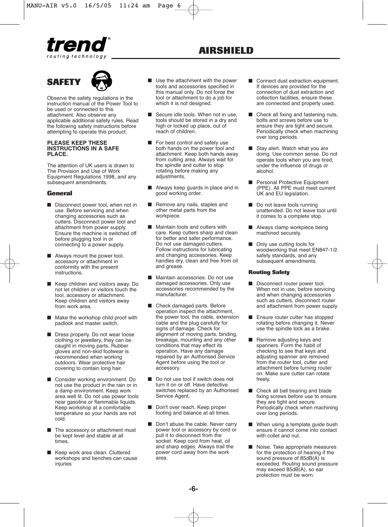





Observe the safety regulations in the instruction manual of the Power Tool to be used or connected to this attachment. Also observe any applicable additional safety rules. Read the following safety instructions before attempting to operate this product.

#### **PLEASE KEEP THESE INSTRUCTIONS IN A SAFE PLACE.**

The attention of UK users is drawn to The Provision and Use of Work Equipment Regulations 1998, and any subsequent amendments.

#### **General**

- Disconnect power tool, when not in use. Before servicing and when changing accessories such as cutters. Disconnect power tool and attachment from power supply. Ensure the machine is switched off before plugging tool in or connecting to a power supply.
- Always mount the power tool, accessory or attachment in conformity with the present instructions.
- Keep children and visitors away. Do not let children or visitors touch the tool, accessory or attachment. Keep children and visitors away from work area.
- Make the workshop child proof with padlock and master switch.
- Dress properly. Do not wear loose clothing or jewellery, they can be caught in moving parts. Rubber gloves and non-skid footwear is recommended when working outdoors. Wear protective hair covering to contain long hair.
- Consider working environment. Do not use the product in the rain or in a damp environment. Keep work area well lit. Do not use power tools near gasoline or flammable liquids. Keep workshop at a comfortable temperature so your hands are not cold.
- The accessory or attachment must be kept level and stable at all times.
- Keep work area clean. Cluttered workshops and benches can cause injuries
- Use the attachment with the power tools and accessories specified in this manual only. Do not force the tool or attachment to do a job for which it is not designed.
- Secure idle tools. When not in use, tools should be stored in a dry and high or locked up place, out of reach of children.
- For best control and safety use both hands on the power tool and attachment. Keep both hands away from cutting area. Always wait for the spindle and cutter to stop rotating before making any adiustments.
- Always keep quards in place and in good working order.
- Remove any nails, staples and other metal parts from the workpiece.
- Maintain tools and cutters with care. Keep cutters sharp and clean for better and safer performance. Do not use damaged cutters. Follow instructions for lubricating and changing accessories. Keep handles dry, clean and free from oil and grease.
- Maintain accessories. Do not use damaged accessories. Only use accessories recommended by the manufacturer.
- Check damaged parts. Before operation inspect the attachment, the power tool, the cable, extension cable and the plug carefully for signs of damage. Check for alignment of moving parts, binding, breakage, mounting and any other conditions that may effect its operation. Have any damage repaired by an Authorised Service Agent before using the tool or accessory.
- Do not use tool if switch does not turn it on or off. Have defective switches replaced by an Authorised Service Agent.
- Don't over reach. Keep proper footing and balance at all times.
- Don't abuse the cable. Never carry power tool or accessory by cord or pull it to disconnect from the socket. Keep cord from heat, oil and sharp edges. Always trail the power cord away from the work .<br>area.
- Connect dust extraction equipment. If devices are provided for the connection of dust extraction and collection facilities, ensure these are connected and properly used.
- Check all fixing and fastening nuts, bolts and screws before use to ensure they are tight and secure. Periodically check when machining over long periods.
- Stay alert. Watch what you are doing. Use common sense. Do not operate tools when you are tired, under the influence of drugs or alcohol.
- Personal Protective Equipment (PPE). All PPE must meet current UK and EU legislation.
- Do not leave tools running unattended. Do not leave tool until it comes to a complete stop.
- Always clamp workpiece being machined securely.
- Only use cutting tools for woodworking that meet EN847-1/2 safety standards, and any subsequent amendments.

#### **Routing Safety**

- Disconnect router power tool. When not in use, before servicing and when changing accessories such as cutters, disconnect router and attachment from power supply.
- Ensure router cutter has stopped rotating before changing it. Never use the spindle lock as a brake.
- Remove adiusting keys and spanners. Form the habit of checking to see that keys and adjusting spanner are removed from the router tool, cutter and attachment before turning router on. Make sure cutter can rotate freely.
- Check all ball bearing and blade fixing screws before use to ensure they are tight and secure. Periodically check when machining over long periods.
- When using a template quide bush ensure it cannot come into contact with collet and nut.
- Noise. Take appropriate measures for the protection of hearing if the sound pressure of 85dB(A) is exceeded. Routing sound pressure may exceed 85dB(A), so ear protection must be worn.

**-6-**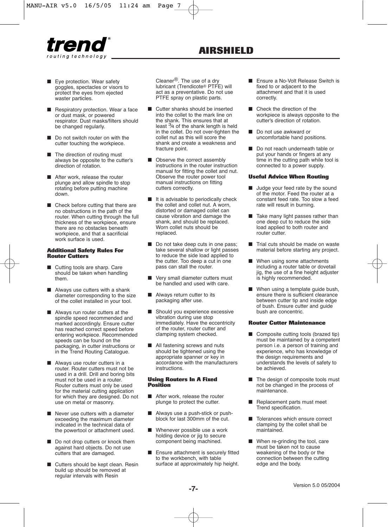

- Eye protection. Wear safety goggles, spectacles or visors to protect the eyes from ejected waster particles.
- Respiratory protection. Wear a face or dust mask, or powered respirator. Dust masks/filters should be changed regularly.
- Do not switch router on with the cutter touching the workpiece.
- The direction of routing must always be opposite to the cutter's direction of rotation.
- After work, release the router plunge and allow spindle to stop rotating before putting machine down.
- Check before cutting that there are no obstructions in the path of the router. When cutting through the full thickness of the workpiece, ensure there are no obstacles beneath workpiece, and that a sacrificial work surface is used.

#### **Additional Safety Rules For Router Cutters**

- Cutting tools are sharp. Care should be taken when handling them.
- Always use cutters with a shank diameter corresponding to the size of the collet installed in your tool.
- Always run router cutters at the spindle speed recommended and marked accordingly. Ensure cutter has reached correct speed before entering workpiece. Recommended speeds can be found on the packaging, in cutter instructions or in the Trend Routing Catalogue.
- Always use router cutters in a router. Router cutters must not be used in a drill. Drill and boring bits must not be used in a router. Router cutters must only be used for the material cutting application for which they are designed. Do not use on metal or masonry.
- Never use cutters with a diameter exceeding the maximum diameter indicated in the technical data of the powertool or attachment used.
- Do not drop cutters or knock them against hard objects. Do not use cutters that are damaged.
- Cutters should be kept clean. Resin build up should be removed at regular intervals with Resin

Cleaner®. The use of a dry lubricant (Trendicote® PTFE) will act as a preventative. Do not use PTFE spray on plastic parts.

- Cutter shanks should be inserted into the collet to the mark line on the shank. This ensures that at least 3⁄4 of the shank length is held in the collet. Do not over-tighten the collet nut as this will score the shank and create a weakness and fracture point.
- Observe the correct assembly instructions in the router instruction manual for fitting the collet and nut. Observe the router power tool manual instructions on fitting cutters correctly.
- It is advisable to periodically check the collet and collet nut. A worn, distorted or damaged collet can cause vibration and damage the shank, and should be replaced. Worn collet nuts should be replaced.
- Do not take deep cuts in one pass; take several shallow or light passes to reduce the side load applied to the cutter. Too deep a cut in one pass can stall the router.
- Very small diameter cutters must be handled and used with care.
- Always return cutter to its packaging after use.
- Should you experience excessive vibration during use stop immediately. Have the eccentricity of the router, router cutter and clamping system checked.
- All fastening screws and nuts should be tightened using the appropriate spanner or key in accordance with the manufacturers instructions.

#### **Using Routers In A Fixed Position**

- After work, release the router plunge to protect the cutter.
- Always use a push-stick or pushblock for last 300mm of the cut.
- Whenever possible use a work holding device or jig to secure component being machined.
- Ensure attachment is securely fitted to the workbench, with table surface at approximately hip height.
- Ensure a No-Volt Release Switch is fixed to or adjacent to the attachment and that it is used correctly.
- Check the direction of the workpiece is always opposite to the cutter's direction of rotation.
- Do not use awkward or uncomfortable hand positions.
- Do not reach underneath table or put your hands or fingers at any time in the cutting path while tool is connected to a power supply.

#### **Useful Advice When Routing**

- Judge your feed rate by the sound of the motor. Feed the router at a constant feed rate. Too slow a feed rate will result in burning.
- Take many light passes rather than one deep cut to reduce the side load applied to both router and router cutter.
- Trial cuts should be made on waste material before starting any project.
- When using some attachments including a router table or dovetail iig, the use of a fine height adjuster is highly recommended.
- When using a template quide bush. ensure there is sufficient clearance between cutter tip and inside edge of bush. Ensure cutter and guide bush are concentric.

#### **Router Cutter Maintenance**

- Composite cutting tools (brazed tip) must be maintained by a competent person i.e. a person of training and experience, who has knowledge of the design requirements and understands the levels of safety to be achieved.
- The design of composite tools must not be changed in the process of maintenance.
- Replacement parts must meet Trend specification.
- Tolerances which ensure correct clamping by the collet shall be maintained.
- When re-grinding the tool, care must be taken not to cause weakening of the body or the connection between the cutting edge and the body.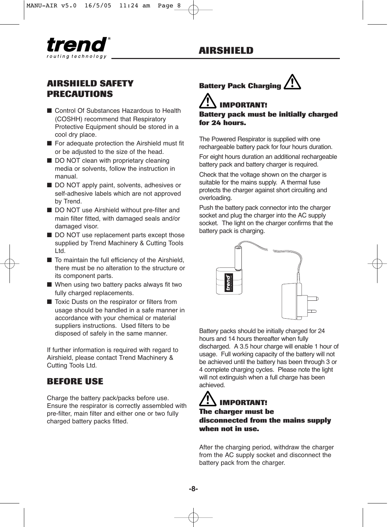# **AIRSHIELD**



# **AIRSHIELD SAFETY PRECAUTIONS**

- Control Of Substances Hazardous to Health (COSHH) recommend that Respiratory Protective Equipment should be stored in a cool dry place.
- For adequate protection the Airshield must fit or be adjusted to the size of the head.
- DO NOT clean with proprietary cleaning media or solvents, follow the instruction in manual.
- DO NOT apply paint, solvents, adhesives or self-adhesive labels which are not approved by Trend.
- DO NOT use Airshield without pre-filter and main filter fitted, with damaged seals and/or damaged visor.
- DO NOT use replacement parts except those supplied by Trend Machinery & Cutting Tools Ltd.
- To maintain the full efficiency of the Airshield, there must be no alteration to the structure or its component parts.
- When using two battery packs always fit two fully charged replacements.
- Toxic Dusts on the respirator or filters from usage should be handled in a safe manner in accordance with your chemical or material suppliers instructions. Used filters to be disposed of safely in the same manner.

If further information is required with regard to Airshield, please contact Trend Machinery & Cutting Tools Ltd.

### **BEFORE USE**

Charge the battery pack/packs before use. Ensure the respirator is correctly assembled with pre-filter, main filter and either one or two fully charged battery packs fitted.



# **IMPORTANT!**

**Battery pack must be initially charged for 24 hours.**

The Powered Respirator is supplied with one rechargeable battery pack for four hours duration.

For eight hours duration an additional rechargeable battery pack and battery charger is required.

Check that the voltage shown on the charger is suitable for the mains supply. A thermal fuse protects the charger against short circuiting and overloading.

Push the battery pack connector into the charger socket and plug the charger into the AC supply socket. The light on the charger confirms that the battery pack is charging.



Battery packs should be initially charged for 24 hours and 14 hours thereafter when fully discharged. A 3.5 hour charge will enable 1 hour of usage. Full working capacity of the battery will not be achieved until the battery has been through 3 or 4 complete charging cycles. Please note the light will not extinguish when a full charge has been achieved.

### **The charger must be disconnected from the mains supply when not in use. IMPORTANT!**

After the charging period, withdraw the charger from the AC supply socket and disconnect the battery pack from the charger.

**-8-**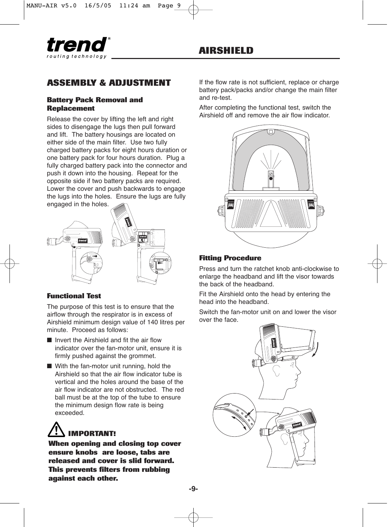

# **ASSEMBLY & ADJUSTMENT**

#### **Battery Pack Removal and Replacement**

Release the cover by lifting the left and right sides to disengage the lugs then pull forward and lift. The battery housings are located on either side of the main filter. Use two fully charged battery packs for eight hours duration or one battery pack for four hours duration. Plug a fully charged battery pack into the connector and push it down into the housing. Repeat for the opposite side if two battery packs are required. Lower the cover and push backwards to engage the lugs into the holes. Ensure the lugs are fully engaged in the holes.



### **Functional Test**

The purpose of this test is to ensure that the airflow through the respirator is in excess of Airshield minimum design value of 140 litres per minute. Proceed as follows:

- Invert the Airshield and fit the air flow indicator over the fan-motor unit, ensure it is firmly pushed against the grommet.
- With the fan-motor unit running, hold the Airshield so that the air flow indicator tube is vertical and the holes around the base of the air flow indicator are not obstructed. The red ball must be at the top of the tube to ensure the minimum design flow rate is being exceeded.

# **IMPORTANT!**

**When opening and closing top cover ensure knobs are loose, tabs are released and cover is slid forward. This prevents filters from rubbing against each other.**

If the flow rate is not sufficient, replace or charge battery pack/packs and/or change the main filter and re-test.

After completing the functional test, switch the Airshield off and remove the air flow indicator.



### **Fitting Procedure**

Press and turn the ratchet knob anti-clockwise to enlarge the headband and lift the visor towards the back of the headband.

Fit the Airshield onto the head by entering the head into the headband.

Switch the fan-motor unit on and lower the visor over the face.

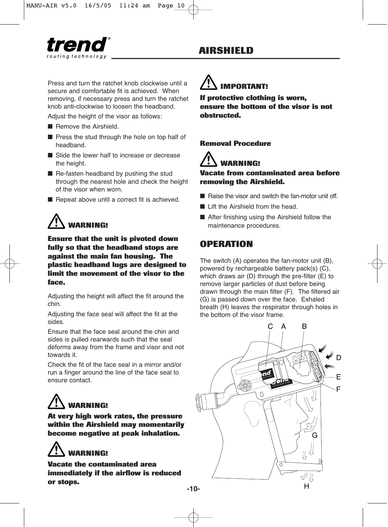Press and turn the ratchet knob clockwise until a secure and comfortable fit is achieved. When removing, if necessary press and turn the ratchet knob anti-clockwise to loosen the headband.

Adjust the height of the visor as follows:

- Remove the Airshield.
- Press the stud through the hole on top half of headband.
- Slide the lower half to increase or decrease the height.
- Re-fasten headband by pushing the stud through the nearest hole and check the height of the visor when worn.
- Repeat above until a correct fit is achieved.

# **WARNING!**

**Ensure that the unit is pivoted down fully so that the headband stops are against the main fan housing. The plastic headband lugs are designed to limit the movement of the visor to the face.**

Adjusting the height will affect the fit around the chin.

Adjusting the face seal will affect the fit at the sides.

Ensure that the face seal around the chin and sides is pulled rearwards such that the seal deforms away from the frame and visor and not towards it.

Check the fit of the face seal in a mirror and/or run a finger around the line of the face seal to ensure contact.

# **WARNING!**

**At very high work rates, the pressure within the Airshield may momentarily become negative at peak inhalation.**

# **WARNING!**

**Vacate the contaminated area immediately if the airflow is reduced or stops.**

# **IMPORTANT!**

**If protective clothing is worn, ensure the bottom of the visor is not obstructed.**

#### **Removal Procedure**

# **WARNING!**

#### **Vacate from contaminated area before removing the Airshield.**

- Raise the visor and switch the fan-motor unit off.
- Lift the Airshield from the head.
- After finishing using the Airshield follow the maintenance procedures.

# **OPERATION**

The switch (A) operates the fan-motor unit (B), powered by rechargeable battery pack(s) (C), which draws air (D) through the pre-filter (E) to remove larger particles of dust before being drawn through the main filter (F). The filtered air (G) is passed down over the face. Exhaled breath (H) leaves the respirator through holes in the bottom of the visor frame.

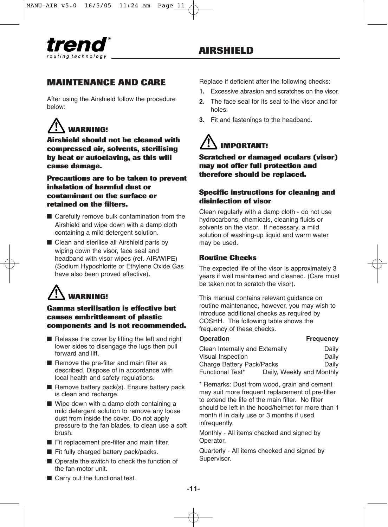### **MAINTENANCE AND CARE**

After using the Airshield follow the procedure below:

# **WARNING!**

**Airshield should not be cleaned with compressed air, solvents, sterilising by heat or autoclaving, as this will cause damage.**

**Precautions are to be taken to prevent inhalation of harmful dust or contaminant on the surface or retained on the filters.**

- Carefully remove bulk contamination from the Airshield and wipe down with a damp cloth containing a mild detergent solution.
- Clean and sterilise all Airshield parts by wiping down the visor, face seal and headband with visor wipes (ref. AIR/WIPE) (Sodium Hypochlorite or Ethylene Oxide Gas have also been proved effective).

# **WARNING!**

**Gamma sterilisation is effective but causes embrittlement of plastic components and is not recommended.**

- Release the cover by lifting the left and right lower sides to disengage the lugs then pull forward and lift.
- Remove the pre-filter and main filter as described. Dispose of in accordance with local health and safety regulations.
- Remove battery pack(s). Ensure battery pack is clean and recharge.
- Wipe down with a damp cloth containing a mild detergent solution to remove any loose dust from inside the cover. Do not apply pressure to the fan blades, to clean use a soft brush.
- Fit replacement pre-filter and main filter.
- Fit fully charged battery pack/packs.
- Operate the switch to check the function of the fan-motor unit.
- Replace if deficient after the following checks:
- **1.** Excessive abrasion and scratches on the visor.
- **2.** The face seal for its seal to the visor and for holes.
- **3.** Fit and fastenings to the headband.

# **IMPORTANT!**

**Scratched or damaged oculars (visor) may not offer full protection and therefore should be replaced.**

#### **Specific instructions for cleaning and disinfection of visor**

Clean regularly with a damp cloth - do not use hydrocarbons, chemicals, cleaning fluids or solvents on the visor. If necessary, a mild solution of washing-up liquid and warm water may be used.

#### **Routine Checks**

The expected life of the visor is approximately 3 years if well maintained and cleaned. (Care must be taken not to scratch the visor).

This manual contains relevant guidance on routine maintenance, however, you may wish to introduce additional checks as required by COSHH. The following table shows the frequency of these checks.

#### **Operation Frequency**

| Clean Internally and Externally |  | Daily                     |
|---------------------------------|--|---------------------------|
| Visual Inspection               |  | Daily                     |
| Charge Battery Pack/Packs       |  | Daily                     |
| <b>Functional Test*</b>         |  | Daily, Weekly and Monthly |

\* Remarks: Dust from wood, grain and cement may suit more frequent replacement of pre-filter to extend the life of the main filter. No filter should be left in the hood/helmet for more than 1 month if in daily use or 3 months if used infrequently.

Monthly - All items checked and signed by Operator.

Quarterly - All items checked and signed by Supervisor.

■ Carry out the functional test.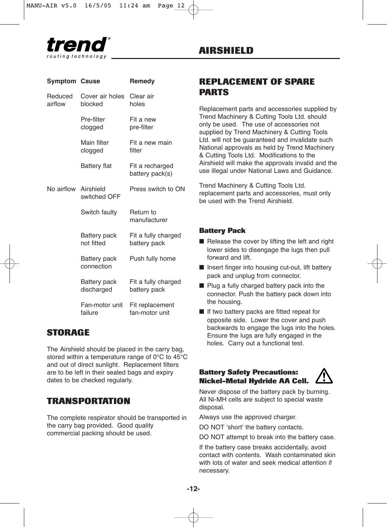

**Symptom Cause Remedy**

| <b>AIRSHIELD</b> |
|------------------|
|------------------|

| Reduced<br>airflow   | Cover air holes<br>blocked | Clear air<br>holes                  |
|----------------------|----------------------------|-------------------------------------|
|                      | Pre-filter<br>clogged      | Fit a new<br>pre-filter             |
|                      | Main filter<br>clogged     | Fit a new main<br>filter            |
|                      | <b>Battery flat</b>        | Fit a recharged<br>battery pack(s)  |
| No airflow Airshield | switched OFF               | Press switch to ON                  |
|                      | Switch faulty              | Return to<br>manufacturer           |
|                      | Battery pack<br>not fitted | Fit a fully charged<br>battery pack |
|                      | Battery pack<br>connection | Push fully home                     |
|                      | Battery pack<br>discharged | Fit a fully charged<br>battery pack |
|                      | Fan-motor unit<br>failure  | Fit replacement<br>fan-motor unit   |

### **STORAGE**

The Airshield should be placed in the carry bag, stored within a temperature range of 0°C to 45°C and out of direct sunlight. Replacement filters are to be left in their sealed bags and expiry dates to be checked regularly.

### **TRANSPORTATION**

The complete respirator should be transported in the carry bag provided. Good quality commercial packing should be used.

# **REPLACEMENT OF SPARE PARTS**

Replacement parts and accessories supplied by Trend Machinery & Cutting Tools Ltd. should only be used. The use of accessories not supplied by Trend Machinery & Cutting Tools Ltd. will not be guaranteed and invalidate such National approvals as held by Trend Machinery & Cutting Tools Ltd. Modifications to the Airshield will make the approvals invalid and the use illegal under National Laws and Guidance.

Trend Machinery & Cutting Tools Ltd. replacement parts and accessories, must only be used with the Trend Airshield.

#### **Battery Pack**

- Release the cover by lifting the left and right lower sides to disengage the lugs then pull forward and lift.
- Insert finger into housing cut-out, lift battery pack and unplug from connector.
- Plug a fully charged battery pack into the connector. Push the battery pack down into the housing.
- If two battery packs are fitted repeat for opposite side. Lower the cover and push backwards to engage the lugs into the holes. Ensure the lugs are fully engaged in the holes. Carry out a functional test.

#### **Battery Safety Precautions: Nickel-Metal Hydride AA Cell.**



Never dispose of the battery pack by burning. All Ni-MH cells are subject to special waste disposal.

Always use the approved charger.

DO NOT 'short' the battery contacts.

DO NOT attempt to break into the battery case.

If the battery case breaks accidentally, avoid contact with contents. Wash contaminated skin with lots of water and seek medical attention if necessary.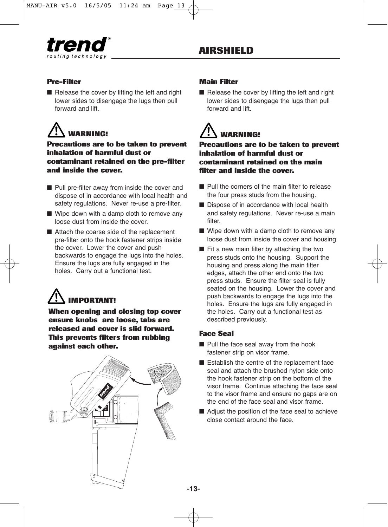

### **Pre-Filter**

■ Release the cover by lifting the left and right lower sides to disengage the lugs then pull forward and lift.

# **WARNING!**

**Precautions are to be taken to prevent inhalation of harmful dust or contaminant retained on the pre-filter and inside the cover.**

- Pull pre-filter away from inside the cover and dispose of in accordance with local health and safety regulations. Never re-use a pre-filter.
- Wipe down with a damp cloth to remove any loose dust from inside the cover.
- Attach the coarse side of the replacement pre-filter onto the hook fastener strips inside the cover. Lower the cover and push backwards to engage the lugs into the holes. Ensure the lugs are fully engaged in the holes. Carry out a functional test.

# **IMPORTANT!**

**When opening and closing top cover ensure knobs are loose, tabs are released and cover is slid forward. This prevents filters from rubbing against each other.**

### **Main Filter**

■ Release the cover by lifting the left and right lower sides to disengage the lugs then pull forward and lift.

# **WARNING!**

**Precautions are to be taken to prevent inhalation of harmful dust or contaminant retained on the main filter and inside the cover.**

- Pull the corners of the main filter to release the four press studs from the housing.
- Dispose of in accordance with local health and safety regulations. Never re-use a main filter.
- Wipe down with a damp cloth to remove any loose dust from inside the cover and housing.
- Fit a new main filter by attaching the two press studs onto the housing. Support the housing and press along the main filter edges, attach the other end onto the two press studs. Ensure the filter seal is fully seated on the housing. Lower the cover and push backwards to engage the lugs into the holes. Ensure the lugs are fully engaged in the holes. Carry out a functional test as described previously.

### **Face Seal**

- Pull the face seal away from the hook fastener strip on visor frame.
- Establish the centre of the replacement face seal and attach the brushed nylon side onto the hook fastener strip on the bottom of the visor frame. Continue attaching the face seal to the visor frame and ensure no gaps are on the end of the face seal and visor frame.
- Adjust the position of the face seal to achieve close contact around the face.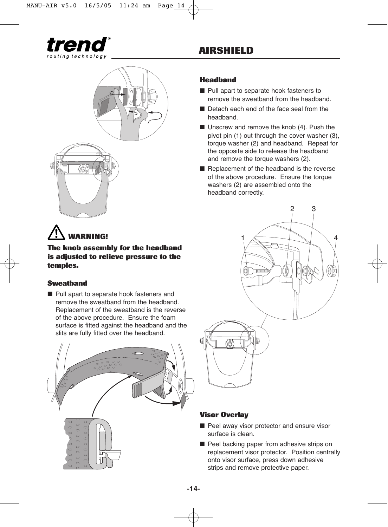

# **AIRSHIELD**

### **Headband**

- Pull apart to separate hook fasteners to remove the sweatband from the headband.
- Detach each end of the face seal from the headband.
- Unscrew and remove the knob (4). Push the pivot pin (1) out through the cover washer (3), torque washer (2) and headband. Repeat for the opposite side to release the headband and remove the torque washers (2).
- Replacement of the headband is the reverse of the above procedure. Ensure the torque washers (2) are assembled onto the headband correctly.



#### **Visor Overlay**

- Peel away visor protector and ensure visor surface is clean.
- Peel backing paper from adhesive strips on replacement visor protector. Position centrally onto visor surface, press down adhesive strips and remove protective paper.



**The knob assembly for the headband is adjusted to relieve pressure to the temples.**

#### **Sweatband**

■ Pull apart to separate hook fasteners and remove the sweatband from the headband. Replacement of the sweatband is the reverse of the above procedure. Ensure the foam surface is fitted against the headband and the slits are fully fitted over the headband.

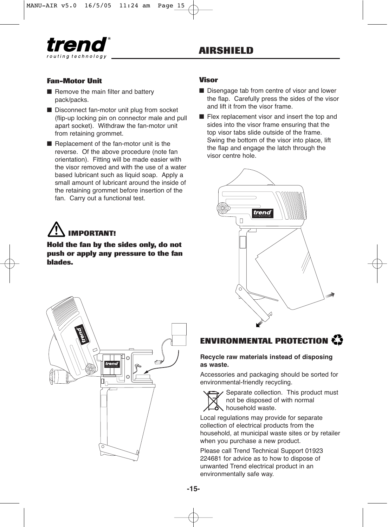

#### **Fan-Motor Unit**

- Remove the main filter and battery pack/packs.
- Disconnect fan-motor unit plug from socket (flip-up locking pin on connector male and pull apart socket). Withdraw the fan-motor unit from retaining grommet.
- Replacement of the fan-motor unit is the reverse. Of the above procedure (note fan orientation). Fitting will be made easier with the visor removed and with the use of a water based lubricant such as liquid soap. Apply a small amount of lubricant around the inside of the retaining grommet before insertion of the fan. Carry out a functional test.

# **IMPORTANT!**

#### **Hold the fan by the sides only, do not push or apply any pressure to the fan blades.**



#### **Visor**

- Disengage tab from centre of visor and lower the flap. Carefully press the sides of the visor and lift it from the visor frame.
- Flex replacement visor and insert the top and sides into the visor frame ensuring that the top visor tabs slide outside of the frame. Swing the bottom of the visor into place, lift the flap and engage the latch through the visor centre hole.



# **ENVIRONMENTAL PROTECTION**

#### **Recycle raw materials instead of disposing as waste.**

Accessories and packaging should be sorted for environmental-friendly recycling.



Separate collection. This product must not be disposed of with normal household waste.

Local regulations may provide for separate collection of electrical products from the household, at municipal waste sites or by retailer when you purchase a new product.

Please call Trend Technical Support 01923 224681 for advice as to how to dispose of unwanted Trend electrical product in an environmentally safe way.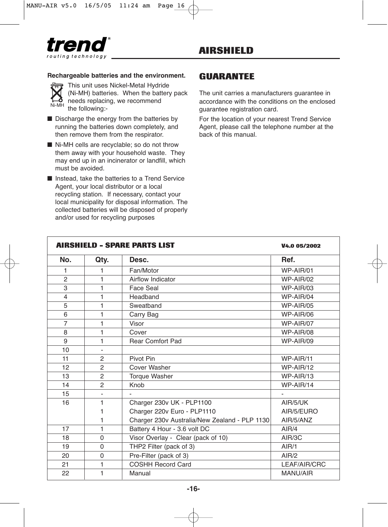

#### **Rechargeable batteries and the environment.**



**This unit uses Nickel-Metal Hydride** (Ni-MH) batteries. When the battery pack needs replacing, we recommend the following:-

- Discharge the energy from the batteries by running the batteries down completely, and then remove them from the respirator.
- Ni-MH cells are recyclable; so do not throw them away with your household waste. They may end up in an incinerator or landfill, which must be avoided.
- Instead, take the batteries to a Trend Service Agent, your local distributor or a local recycling station. If necessary, contact your local municipality for disposal information. The collected batteries will be disposed of properly and/or used for recycling purposes

### **GUARANTEE**

The unit carries a manufacturers guarantee in accordance with the conditions on the enclosed guarantee registration card.

For the location of your nearest Trend Service Agent, please call the telephone number at the back of this manual.

|                |                          | <b>AIRSHIELD - SPARE PARTS LIST</b>           | V4.0 05/2002    |
|----------------|--------------------------|-----------------------------------------------|-----------------|
| No.            | Qty.                     | Desc.                                         | Ref.            |
| 1              | 1                        | Fan/Motor                                     | WP-AIR/01       |
| $\overline{2}$ | 1                        | Airflow Indicator                             | WP-AIR/02       |
| 3              | 1                        | Face Seal                                     | WP-AIR/03       |
| $\overline{4}$ | 1                        | Headband                                      | WP-AIR/04       |
| 5              | 1                        | Sweatband                                     | WP-AIR/05       |
| 6              | 1                        | Carry Bag                                     | WP-AIR/06       |
| $\overline{7}$ | 1                        | Visor                                         | WP-AIR/07       |
| 8              | 1                        | Cover                                         | WP-AIR/08       |
| 9              | 1                        | <b>Rear Comfort Pad</b>                       | WP-AIR/09       |
| 10             | ٠                        |                                               |                 |
| 11             | 2                        | Pivot Pin                                     | WP-AIR/11       |
| 12             | 2                        | Cover Washer                                  | WP-AIR/12       |
| 13             | $\overline{2}$           | <b>Torque Washer</b>                          | WP-AIR/13       |
| 14             | $\mathcal{P}$            | Knob                                          | WP-AIR/14       |
| 15             | $\overline{\phantom{a}}$ |                                               |                 |
| 16             | 1                        | Charger 230v UK - PLP1100                     | AIR/5/UK        |
|                | 1                        | Charger 220v Euro - PLP1110                   | AIR/5/EURO      |
|                | 1                        | Charger 230v Australia/New Zealand - PLP 1130 | AIR/5/ANZ       |
| 17             | 1                        | Battery 4 Hour - 3.6 volt DC                  | AIR/4           |
| 18             | $\Omega$                 | Visor Overlay - Clear (pack of 10)            | AIR/3C          |
| 19             | $\Omega$                 | THP2 Filter (pack of 3)                       | AIR/1           |
| 20             | $\Omega$                 | Pre-Filter (pack of 3)                        | AIR/2           |
| 21             | 1                        | <b>COSHH Record Card</b>                      | LEAF/AIR/CRC    |
| 22             | 1                        | Manual                                        | <b>MANU/AIR</b> |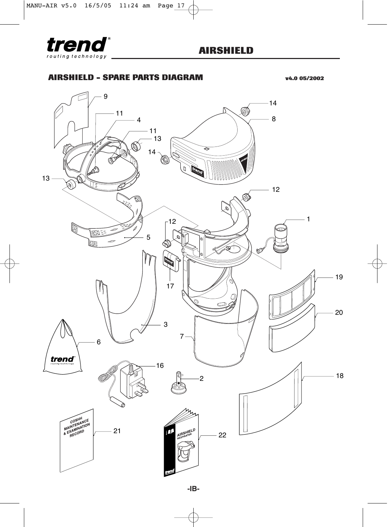

### **AIRSHIELD - SPARE PARTS DIAGRAM v4.0 05/2002**